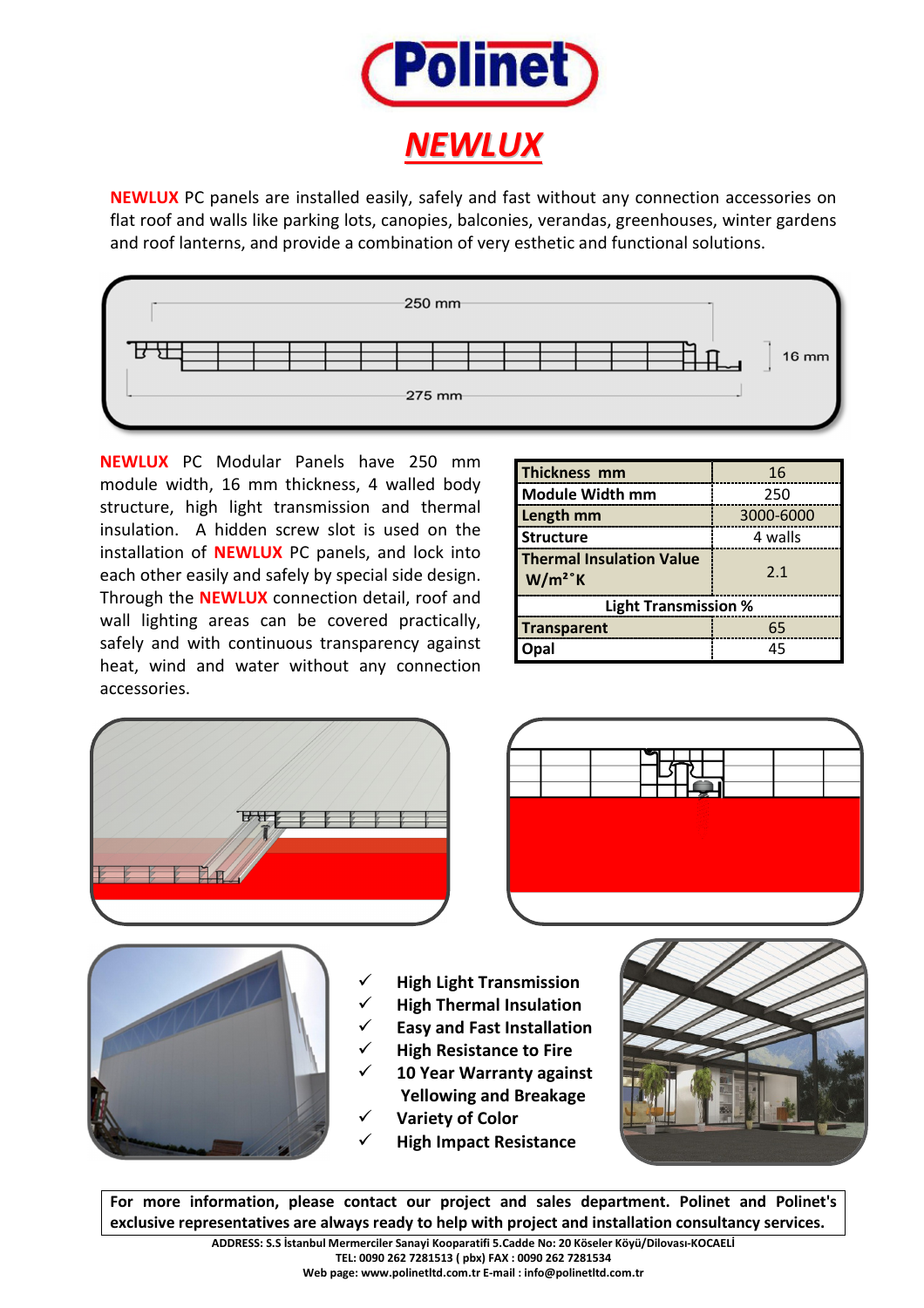

**NEWLUX** PC panels are installed easily, safely and fast without any connection accessories on flat roof and walls like parking lots, canopies, balconies, verandas, greenhouses, winter gardens and roof lanterns, and provide a combination of very esthetic and functional solutions.



 accessories.**NEWLUX** PC Modular Panels have 250 mm module width, 16 mm thickness, 4 walled body structure, high light transmission and thermal insulation. A hidden screw slot is used on the installation of **NEWLUX** PC panels, and lock into each other easily and safely by special side design. Through the **NEWLUX** connection detail, roof and wall lighting areas can be covered practically, safely and with continuous transparency against heat, wind and water without any connection

| Thickness mm                                              | 16        |
|-----------------------------------------------------------|-----------|
| <b>Module Width mm</b>                                    | 250       |
| Length mm                                                 | 3000-6000 |
| <b>Structure</b>                                          | 4 walls   |
| <b>Thermal Insulation Value</b><br>$W/m^2$ <sup>°</sup> K | 2.1       |
| <b>Light Transmission %</b>                               |           |
| <b>Transparent</b>                                        | 65        |
|                                                           | 45        |







- **High Light Transmission**
- **High Thermal Insulation**
- **Easy and Fast Installation**
- **High Resistance to Fire**
- **10 Year Warranty against Yellowing and Breakage**
- **Variety of Color**
- **High Impact Resistance**



**For more information, please contact our project and sales department. Polinet and Polinet's exclusive representatives are always ready to help with project and installation consultancy services.**

**ADDRESS: S.S İstanbul Mermerciler Sanayi Kooparatifi 5.Cadde No: 20 Köseler Köyü/Dilovası-KOCAELİ TEL: 0090 262 7281513 ( pbx) FAX : 0090 262 7281534**

**Web page: www.polinetltd.com.tr E-mail : info@polinetltd.com.tr**